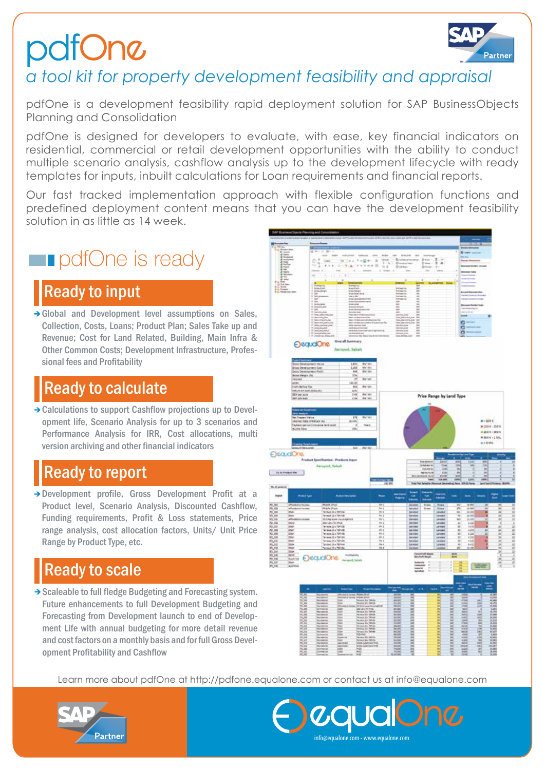# pdfOne



### *a tool kit for property development feasibility and appraisal*

pdfOne is a development feasibility rapid deployment solution for SAP BusinessObjects Planning and Consolidation

pdfOne is designed for developers to evaluate, with ease, key financial indicators on residential, commercial or retail development opportunities with the ability to conduct multiple scenario analysis, cashflow analysis up to the development lifecycle with ready templates for inputs, inbuilt calculations for Loan requirements and financial reports.

Our fast tracked implementation approach with flexible configuration functions and predefined deployment content means that you can have the development feasibility solution in as little as 14 week.

### **p** pdfOne is ready

### Ready to input

→ Global and Development level assumptions on Sales, Collection, Costs, Loans; Product Plan; Sales Take up and Revenue; Cost for Land Related, Building, Main Infra & Other Common Costs; Development Infrastructure, Professional fees and Profitability

#### Ready to calculate

→ Calculations to support Cashflow projections up to Development life, Scenario Analysis for up to 3 scenarios and Performance Analysis for IRR, Cost allocations, multi version archiving and other financial indicators

#### Ready to report

Development profile, Gross Development Profit at a Product level, Scenario Analysis, Discounted Cashflow, Funding requirements, Profit & Loss statements, Price range analysis, cost allocation factors, Units/ Unit Price Range by Product Type, etc.

#### Ready to scale

 $\rightarrow$  Scaleable to full fledge Budgeting and Forecasting system. Future enhancements to full Development Budgeting and Forecasting from Development launch to end of Development Life with annual budgeting for more detail revenue and cost factors on a monthly basis and for full Gross Development Profitability and Cashflow



info@equalone.com - www.equalone.com

ገ $\bm{C}$ 

Learn more about pdfOne at http://pdfone.equalone.com or contact us at info@equalone.com